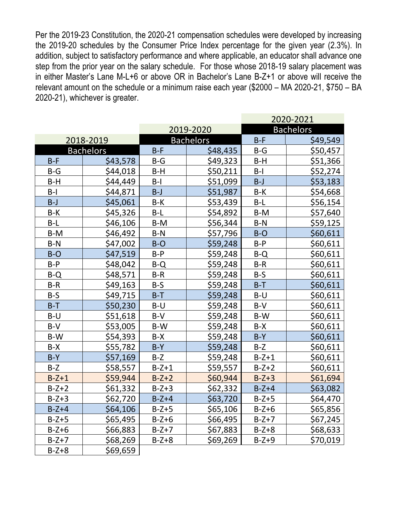Per the 2019-23 Constitution, the 2020-21 compensation schedules were developed by increasing the 2019-20 schedules by the Consumer Price Index percentage for the given year (2.3%). In addition, subject to satisfactory performance and where applicable, an educator shall advance one step from the prior year on the salary schedule. For those whose 2018-19 salary placement was in either Master's Lane M-L+6 or above OR in Bachelor's Lane B-Z+1 or above will receive the relevant amount on the schedule or a minimum raise each year (\$2000 – MA 2020-21, \$750 – BA 2020-21), whichever is greater.

|                  |          |         |                  | 2020-2021 |                  |  |
|------------------|----------|---------|------------------|-----------|------------------|--|
|                  |          |         | 2019-2020        |           | <b>Bachelors</b> |  |
| 2018-2019        |          |         | <b>Bachelors</b> | $B-F$     | \$49,549         |  |
| <b>Bachelors</b> |          | $B-F$   | \$48,435         | $B-G$     | \$50,457         |  |
| $B-F$            | \$43,578 | $B-G$   | \$49,323         | $B-H$     | \$51,366         |  |
| $B-G$            | \$44,018 | $B-H$   | \$50,211         | $B-I$     | \$52,274         |  |
| $B-H$            | \$44,449 | $B-I$   | \$51,099         | $B-J$     | \$53,183         |  |
| $B-I$            | \$44,871 | $B-J$   | \$51,987         | $B-K$     | \$54,668         |  |
| $B-J$            | \$45,061 | B-K     | \$53,439         | $B-L$     | \$56,154         |  |
| $B-K$            | \$45,326 | $B-L$   | \$54,892         | B-M       | \$57,640         |  |
| $B-L$            | \$46,106 | $B-M$   | \$56,344         | $B-N$     | \$59,125         |  |
| $B-M$            | \$46,492 | $B-N$   | \$57,796         | $B-O$     | \$60,611         |  |
| $B-N$            | \$47,002 | $B-O$   | \$59,248         | $B-P$     | \$60,611         |  |
| $B-O$            | \$47,519 | $B-P$   | \$59,248         | $B-Q$     | \$60,611         |  |
| $B-P$            | \$48,042 | $B-Q$   | \$59,248         | $B-R$     | \$60,611         |  |
| $B-Q$            | \$48,571 | $B-R$   | \$59,248         | $B-S$     | \$60,611         |  |
| $B-R$            | \$49,163 | $B-S$   | \$59,248         | $B-T$     | \$60,611         |  |
| $B-S$            | \$49,715 | $B-T$   | \$59,248         | $B-U$     | \$60,611         |  |
| $B-T$            | \$50,230 | $B-U$   | \$59,248         | $B-V$     | \$60,611         |  |
| $B-U$            | \$51,618 | $B-V$   | \$59,248         | B-W       | \$60,611         |  |
| $B-V$            | \$53,005 | B-W     | \$59,248         | $B-X$     | \$60,611         |  |
| B-W              | \$54,393 | $B-X$   | \$59,248         | $B-Y$     | \$60,611         |  |
| $B-X$            | \$55,782 | $B-Y$   | \$59,248         | $B-Z$     | \$60,611         |  |
| $B-Y$            | \$57,169 | $B-Z$   | \$59,248         | $B-Z+1$   | \$60,611         |  |
| $B-Z$            | \$58,557 | $B-Z+1$ | \$59,557         | $B-Z+2$   | \$60,611         |  |
| $B-Z+1$          | \$59,944 | $B-Z+2$ | \$60,944         | $B-Z+3$   | \$61,694         |  |
| $B-Z+2$          | \$61,332 | $B-Z+3$ | \$62,332         | $B-Z+4$   | \$63,082         |  |
| $B-Z+3$          | \$62,720 | $B-Z+4$ | \$63,720         | $B-Z+5$   | \$64,470         |  |
| $B-Z+4$          | \$64,106 | $B-Z+5$ | \$65,106         | $B-Z+6$   | \$65,856         |  |
| $B-Z+5$          | \$65,495 | $B-Z+6$ | \$66,495         | $B-Z+7$   | \$67,245         |  |
| $B-Z+6$          | \$66,883 | $B-Z+7$ | \$67,883         | $B-Z+8$   | \$68,633         |  |
| $B-Z+7$          | \$68,269 | $B-Z+8$ | \$69,269         | $B-Z+9$   | \$70,019         |  |
| $B-Z+8$          | \$69,659 |         |                  |           |                  |  |